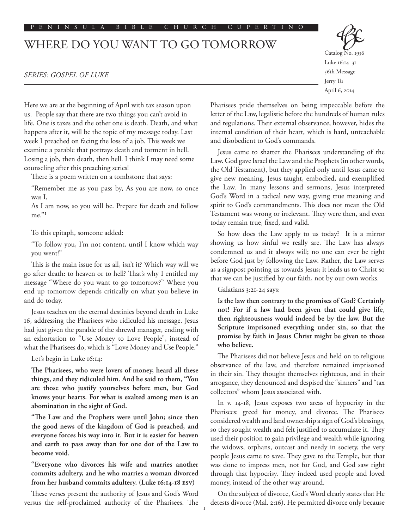## PENINSULA BIBLE CHURCH CUPERTINO

## WHERE DO YOU WANT TO GO TOMORROW

Here we are at the beginning of April with tax season upon us. People say that there are two things you can't avoid in life. One is taxes and the other one is death. Death, and what happens after it, will be the topic of my message today. Last week I preached on facing the loss of a job. This week we examine a parable that portrays death and torment in hell. Losing a job, then death, then hell. I think I may need some counseling after this preaching series!

There is a poem written on a tombstone that says:

"Remember me as you pass by, As you are now, so once was I,

As I am now, so you will be. Prepare for death and follow me."1

## To this epitaph, someone added:

"To follow you, I'm not content, until I know which way you went!"

This is the main issue for us all, isn't it? Which way will we go after death: to heaven or to hell? That's why I entitled my message "Where do you want to go tomorrow?" Where you end up tomorrow depends critically on what you believe in and do today.

Jesus teaches on the eternal destinies beyond death in Luke 16, addressing the Pharisees who ridiculed his message. Jesus had just given the parable of the shrewd manager, ending with an exhortation to "Use Money to Love People", instead of what the Pharisees do, which is "Love Money and Use People."

Let's begin in Luke 16:14:

**The Pharisees, who were lovers of money, heard all these things, and they ridiculed him. And he said to them, "You are those who justify yourselves before men, but God knows your hearts. For what is exalted among men is an abomination in the sight of God.**

**"The Law and the Prophets were until John; since then the good news of the kingdom of God is preached, and everyone forces his way into it. But it is easier for heaven and earth to pass away than for one dot of the Law to become void.**

**"Everyone who divorces his wife and marries another commits adultery, and he who marries a woman divorced from her husband commits adultery. (Luke 16:14-18 esv)**

These verses present the authority of Jesus and God's Word versus the self-proclaimed authority of the Pharisees. The Catalog No. 1956 Luke 16:14–31 56th Message Jerry Tu April 6, 2014

Pharisees pride themselves on being impeccable before the letter of the Law, legalistic before the hundreds of human rules and regulations. Their external observance, however, hides the internal condition of their heart, which is hard, unteachable and disobedient to God's commands.

Jesus came to shatter the Pharisees understanding of the Law. God gave Israel the Law and the Prophets (in other words, the Old Testament), but they applied only until Jesus came to give new meaning. Jesus taught, embodied, and exemplified the Law. In many lessons and sermons, Jesus interpreted God's Word in a radical new way, giving true meaning and spirit to God's commandments. This does not mean the Old Testament was wrong or irrelevant. They were then, and even today remain true, fixed, and valid.

So how does the Law apply to us today? It is a mirror showing us how sinful we really are. The Law has always condemned us and it always will; no one can ever be right before God just by following the Law. Rather, the Law serves as a signpost pointing us towards Jesus; it leads us to Christ so that we can be justified by our faith, not by our own works.

Galatians 3:21-24 says:

**Is the law then contrary to the promises of God? Certainly not! For if a law had been given that could give life, then righteousness would indeed be by the law. But the Scripture imprisoned everything under sin, so that the promise by faith in Jesus Christ might be given to those who believe.**

The Pharisees did not believe Jesus and held on to religious observance of the law, and therefore remained imprisoned in their sin. They thought themselves righteous, and in their arrogance, they denounced and despised the "sinners" and "tax collectors" whom Jesus associated with.

In v. 14-18, Jesus exposes two areas of hypocrisy in the Pharisees: greed for money, and divorce. The Pharisees considered wealth and land ownership a sign of God's blessings, so they sought wealth and felt justified to accumulate it. They used their position to gain privilege and wealth while ignoring the widows, orphans, outcast and needy in society, the very people Jesus came to save. They gave to the Temple, but that was done to impress men, not for God, and God saw right through that hypocrisy. They indeed used people and loved money, instead of the other way around.

On the subject of divorce, God's Word clearly states that He detests divorce (Mal. 2:16). He permitted divorce only because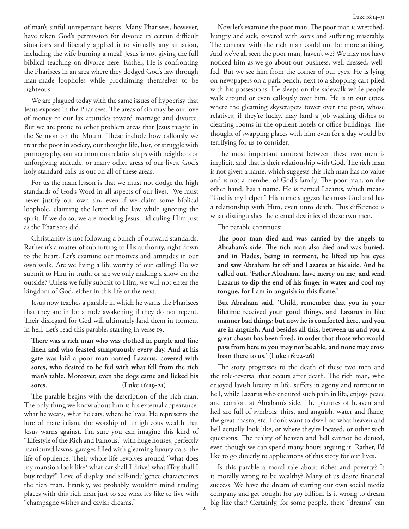of man's sinful unrepentant hearts. Many Pharisees, however, have taken God's permission for divorce in certain difficult situations and liberally applied it to virtually any situation, including the wife burning a meal! Jesus is not giving the full biblical teaching on divorce here. Rather, He is confronting the Pharisees in an area where they dodged God's law through man-made loopholes while proclaiming themselves to be righteous.

We are plagued today with the same issues of hypocrisy that Jesus exposes in the Pharisees. The areas of sin may be our love of money or our lax attitudes toward marriage and divorce. But we are prone to other problem areas that Jesus taught in the Sermon on the Mount. These include how callously we treat the poor in society, our thought life, lust, or struggle with pornography, our acrimonious relationships with neighbors or unforgiving attitude, or many other areas of our lives. God's holy standard calls us out on all of these areas.

For us the main lesson is that we must not dodge the high standards of God's Word in all aspects of our lives. We must never justify our own sin, even if we claim some biblical loophole, claiming the letter of the law while ignoring the spirit. If we do so, we are mocking Jesus, ridiculing Him just as the Pharisees did.

Christianity is not following a bunch of outward standards. Rather it's a matter of submitting to His authority, right down to the heart. Let's examine our motives and attitudes in our own walk. Are we living a life worthy of our calling? Do we submit to Him in truth, or are we only making a show on the outside? Unless we fully submit to Him, we will not enter the kingdom of God, either in this life or the next.

Jesus now teaches a parable in which he warns the Pharisees that they are in for a rude awakening if they do not repent. Their disregard for God will ultimately land them in torment in hell. Let's read this parable, starting in verse 19.

**There was a rich man who was clothed in purple and fine linen and who feasted sumptuously every day. And at his gate was laid a poor man named Lazarus, covered with sores, who desired to be fed with what fell from the rich man's table. Moreover, even the dogs came and licked his sores. (Luke 16:19-21)**

The parable begins with the description of the rich man. The only thing we know about him is his external appearance: what he wears, what he eats, where he lives. He represents the lure of materialism, the worship of unrighteous wealth that Jesus warns against. I'm sure you can imagine this kind of "Lifestyle of the Rich and Famous," with huge houses, perfectly manicured lawns, garages filled with gleaming luxury cars, the life of opulence. Their whole life revolves around "what does my mansion look like? what car shall I drive? what iToy shall I buy today?" Love of display and self-indulgence characterizes the rich man. Frankly, we probably wouldn't mind trading places with this rich man just to see what it's like to live with "champagne wishes and caviar dreams."

Now let's examine the poor man. The poor man is wretched, hungry and sick, covered with sores and suffering miserably. The contrast with the rich man could not be more striking. And we've all seen the poor man, haven't we? We may not have noticed him as we go about our business, well-dressed, wellfed. But we see him from the corner of our eyes. He is lying on newspapers on a park bench, next to a shopping cart piled with his possessions. He sleeps on the sidewalk while people walk around or even callously over him. He is in our cities, where the gleaming skyscrapers tower over the poor, whose relatives, if they're lucky, may land a job washing dishes or cleaning rooms in the opulent hotels or office buildings. The thought of swapping places with him even for a day would be terrifying for us to consider.

The most important contrast between these two men is implicit, and that is their relationship with God. The rich man is not given a name, which suggests this rich man has no value and is not a member of God's family. The poor man, on the other hand, has a name. He is named Lazarus, which means "God is my helper." His name suggests he trusts God and has a relationship with Him, even unto death. This difference is what distinguishes the eternal destinies of these two men.

The parable continues:

**The poor man died and was carried by the angels to Abraham's side. The rich man also died and was buried, and in Hades, being in torment, he lifted up his eyes and saw Abraham far off and Lazarus at his side. And he called out, 'Father Abraham, have mercy on me, and send Lazarus to dip the end of his finger in water and cool my tongue, for I am in anguish in this flame.'** 

**But Abraham said, 'Child, remember that you in your lifetime received your good things, and Lazarus in like manner bad things; but now he is comforted here, and you are in anguish. And besides all this, between us and you a great chasm has been fixed, in order that those who would pass from here to you may not be able, and none may cross from there to us.' (Luke 16:22-26)**

The story progresses to the death of these two men and the role-reversal that occurs after death. The rich man, who enjoyed lavish luxury in life, suffers in agony and torment in hell, while Lazarus who endured such pain in life, enjoys peace and comfort at Abraham's side. The pictures of heaven and hell are full of symbols: thirst and anguish, water and flame, the great chasm, etc. I don't want to dwell on what heaven and hell actually look like, or where they're located, or other such questions. The reality of heaven and hell cannot be denied, even though we can spend many hours arguing it. Rather, I'd like to go directly to applications of this story for our lives.

Is this parable a moral tale about riches and poverty? Is it morally wrong to be wealthy? Many of us desire financial success. We have the dream of starting our own social media company and get bought for \$19 billion. Is it wrong to dream big like that? Certainly, for some people, these "dreams" can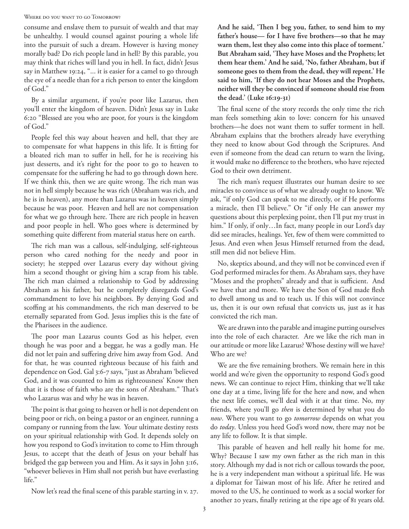## WHERE DO YOU WANT TO GO TOMORROW?

consume and enslave them to pursuit of wealth and that may be unhealthy. I would counsel against pouring a whole life into the pursuit of such a dream. However is having money morally bad? Do rich people land in hell? By this parable, you may think that riches will land you in hell. In fact, didn't Jesus say in Matthew 19:24, "... it is easier for a camel to go through the eye of a needle than for a rich person to enter the kingdom of God."

By a similar argument, if you're poor like Lazarus, then you'll enter the kingdom of heaven. Didn't Jesus say in Luke 6:20 "Blessed are you who are poor, for yours is the kingdom of God."

People feel this way about heaven and hell, that they are to compensate for what happens in this life. It is fitting for a bloated rich man to suffer in hell, for he is receiving his just desserts, and it's right for the poor to go to heaven to compensate for the suffering he had to go through down here. If we think this, then we are quite wrong. The rich man was not in hell simply because he was rich (Abraham was rich, and he is in heaven), any more than Lazarus was in heaven simply because he was poor. Heaven and hell are not compensation for what we go through here. There are rich people in heaven and poor people in hell. Who goes where is determined by something quite different from material status here on earth.

The rich man was a callous, self-indulging, self-righteous person who cared nothing for the needy and poor in society; he stepped over Lazarus every day without giving him a second thought or giving him a scrap from his table. The rich man claimed a relationship to God by addressing Abraham as his father, but he completely disregards God's commandment to love his neighbors. By denying God and scoffing at his commandments, the rich man deserved to be eternally separated from God. Jesus implies this is the fate of the Pharisees in the audience.

The poor man Lazarus counts God as his helper, even though he was poor and a beggar, he was a godly man. He did not let pain and suffering drive him away from God. And for that, he was counted righteous because of his faith and dependence on God. Gal 3:6-7 says, "just as Abraham 'believed God, and it was counted to him as righteousness' Know then that it is those of faith who are the sons of Abraham." That's who Lazarus was and why he was in heaven.

The point is that going to heaven or hell is not dependent on being poor or rich, on being a pastor or an engineer, running a company or running from the law. Your ultimate destiny rests on your spiritual relationship with God. It depends solely on how you respond to God's invitation to come to Him through Jesus, to accept that the death of Jesus on your behalf has bridged the gap between you and Him. As it says in John 3:16, "whoever believes in Him shall not perish but have everlasting life."

Now let's read the final scene of this parable starting in v. 27.

**And he said, 'Then I beg you, father, to send him to my father's house— for I have five brothers—so that he may warn them, lest they also come into this place of torment.' But Abraham said, 'They have Moses and the Prophets; let them hear them.' And he said, 'No, father Abraham, but if someone goes to them from the dead, they will repent.' He said to him, 'If they do not hear Moses and the Prophets, neither will they be convinced if someone should rise from the dead.' (Luke 16:19-31)**

The final scene of the story records the only time the rich man feels something akin to love: concern for his unsaved brothers—he does not want them to suffer torment in hell. Abraham explains that the brothers already have everything they need to know about God through the Scriptures. And even if someone from the dead can return to warn the living, it would make no difference to the brothers, who have rejected God to their own detriment.

The rich man's request illustrates our human desire to see miracles to convince us of what we already ought to know. We ask, "if only God can speak to me directly, or if He performs a miracle, then I'll believe." Or "if only He can answer my questions about this perplexing point, then I'll put my trust in him." If only, if only...In fact, many people in our Lord's day did see miracles, healings. Yet, few of them were committed to Jesus. And even when Jesus Himself returned from the dead, still men did not believe Him.

No, skeptics abound, and they will not be convinced even if God performed miracles for them. As Abraham says, they have "Moses and the prophets" already and that is sufficient. And we have that and more. We have the Son of God made flesh to dwell among us and to teach us. If this will not convince us, then it is our own refusal that convicts us, just as it has convicted the rich man.

We are drawn into the parable and imagine putting ourselves into the role of each character. Are we like the rich man in our attitude or more like Lazarus? Whose destiny will we have? Who are we?

We are the five remaining brothers. We remain here in this world and we're given the opportunity to respond God's good news. We can continue to reject Him, thinking that we'll take one day at a time, living life for the here and now, and when the next life comes, we'll deal with it at that time. No, my friends, where you'll go *then* is determined by what you do *now*. Where you want to go *tomorrow* depends on what you do *today*. Unless you heed God's word now, there may not be any life to follow. It is that simple.

This parable of heaven and hell really hit home for me. Why? Because I saw my own father as the rich man in this story. Although my dad is not rich or callous towards the poor, he is a very independent man without a spiritual life. He was a diplomat for Taiwan most of his life. After he retired and moved to the US, he continued to work as a social worker for another 20 years, finally retiring at the ripe age of 81 years old.